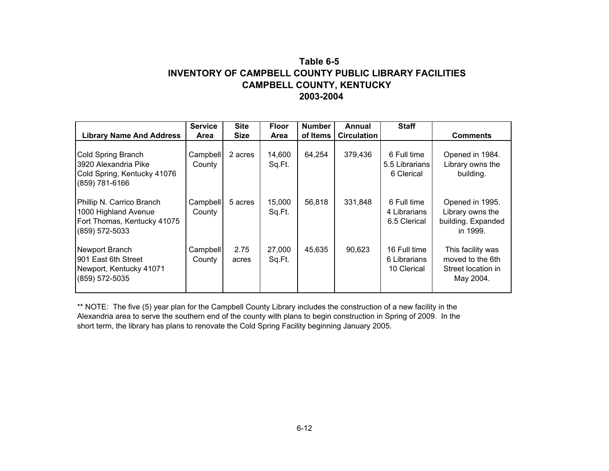## **Table 6-5INVENTORY OF CAMPBELL COUNTY PUBLIC LIBRARY FACILITIESCAMPBELL COUNTY, KENTUCKY 2003-2004**

|                                                                                                    | <b>Service</b>     | <b>Site</b>   | <b>Floor</b>     | <b>Number</b> | Annual             | <b>Staff</b>                                |                                                                          |
|----------------------------------------------------------------------------------------------------|--------------------|---------------|------------------|---------------|--------------------|---------------------------------------------|--------------------------------------------------------------------------|
| <b>Library Name And Address</b>                                                                    | Area               | <b>Size</b>   | Area             | of Items      | <b>Circulation</b> |                                             | <b>Comments</b>                                                          |
| Cold Spring Branch<br>3920 Alexandria Pike<br>Cold Spring, Kentucky 41076<br>(859) 781-6166        | Campbell<br>County | 2 acres       | 14,600<br>Sq.Ft. | 64,254        | 379,436            | 6 Full time<br>5.5 Librarians<br>6 Clerical | Opened in 1984.<br>Library owns the<br>building.                         |
| Phillip N. Carrico Branch<br>1000 Highland Avenue<br>Fort Thomas, Kentucky 41075<br>(859) 572-5033 | Campbell<br>County | 5 acres       | 15,000<br>Sq.Ft. | 56,818        | 331,848            | 6 Full time<br>4 Librarians<br>6.5 Clerical | Opened in 1995.<br>Library owns the<br>building. Expanded<br>in 1999.    |
| Newport Branch<br>901 East 6th Street<br>Newport, Kentucky 41071<br>(859) 572-5035                 | Campbell<br>County | 2.75<br>acres | 27,000<br>Sq.Ft. | 45,635        | 90,623             | 16 Full time<br>6 Librarians<br>10 Clerical | This facility was<br>moved to the 6th<br>Street location in<br>May 2004. |

\*\* NOTE: The five (5) year plan for the Campbell County Library includes the construction of a new facility in the Alexandria area to serve the southern end of the county with plans to begin construction in Spring of 2009. In the short term, the library has plans to renovate the Cold Spring Facility beginning January 2005.